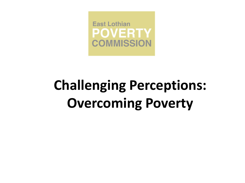

# **Challenging Perceptions: Overcoming Poverty**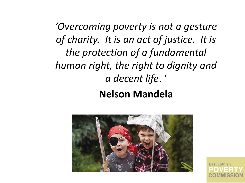*'Overcoming poverty is not a gesture of charity. It is an act of justice. It is the protection of a fundamental human right, the right to dignity and a decent life*. '

#### **Nelson Mandela**



**East Lothian**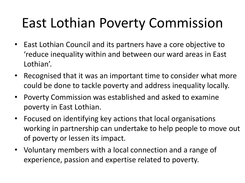# East Lothian Poverty Commission

- East Lothian Council and its partners have a core objective to 'reduce inequality within and between our ward areas in East Lothian'.
- Recognised that it was an important time to consider what more could be done to tackle poverty and address inequality locally.
- Poverty Commission was established and asked to examine poverty in East Lothian.
- Focused on identifying key actions that local organisations working in partnership can undertake to help people to move out of poverty or lessen its impact.
- Voluntary members with a local connection and a range of experience, passion and expertise related to poverty.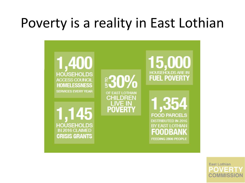## Poverty is a reality in East Lothian



**East Lothian COMMISSI**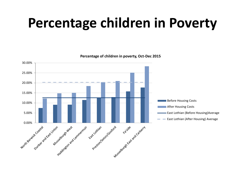## **Percentage children in Poverty**



**Percentage of children in poverty, Oct-Dec 2015**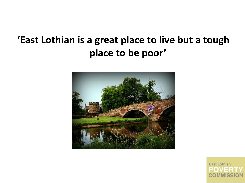#### **'East Lothian is a great place to live but a tough place to be poor'**



**East Lothian**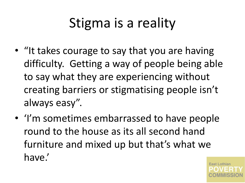# Stigma is a reality

- "It takes courage to say that you are having difficulty. Getting a way of people being able to say what they are experiencing without creating barriers or stigmatising people isn't always easy".
- 'I'm sometimes embarrassed to have people round to the house as its all second hand furniture and mixed up but that's what we have.'

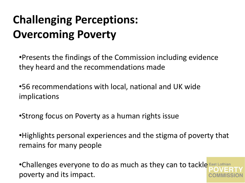### **Challenging Perceptions: Overcoming Poverty**

•Presents the findings of the Commission including evidence they heard and the recommendations made

•56 recommendations with local, national and UK wide implications

•Strong focus on Poverty as a human rights issue

•Highlights personal experiences and the stigma of poverty that remains for many people

•Challenges everyone to do as much as they can to tackle East Lothian poverty and its impact.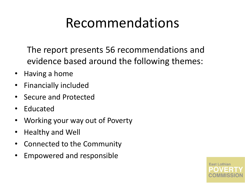### Recommendations

The report presents 56 recommendations and evidence based around the following themes:

- Having a home
- Financially included
- Secure and Protected
- Educated
- Working your way out of Poverty
- Healthy and Well
- Connected to the Community
- Empowered and responsible

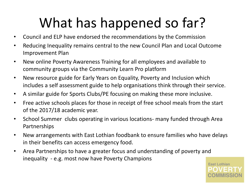# What has happened so far?

- Council and ELP have endorsed the recommendations by the Commission
- Reducing Inequality remains central to the new Council Plan and Local Outcome Improvement Plan
- New online Poverty Awareness Training for all employees and available to community groups via the Community Learn Pro platform
- New resource guide for Early Years on Equality, Poverty and Inclusion which includes a self assessment guide to help organisations think through their service.
- A similar guide for Sports Clubs/PE focusing on making these more inclusive.
- Free active schools places for those in receipt of free school meals from the start of the 2017/18 academic year.
- School Summer clubs operating in various locations- many funded through Area Partnerships
- New arrangements with East Lothian foodbank to ensure families who have delays in their benefits can access emergency food.
- Area Partnerships to have a greater focus and understanding of poverty and inequality - e.g. most now have Poverty Champions